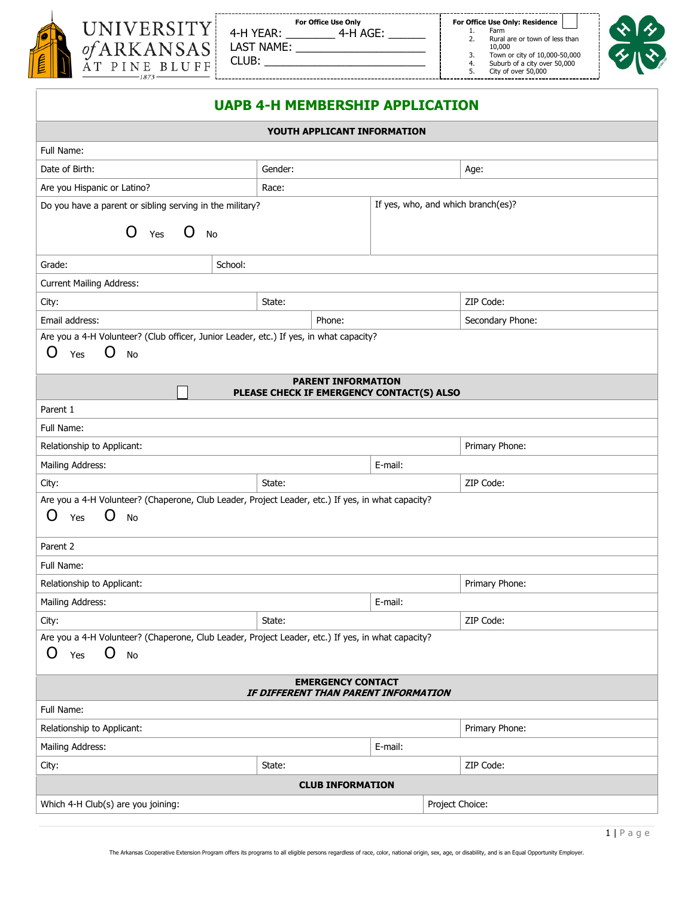

| /ERSITY<br>KANSAS<br>NE BLUFF | 4-H YEAR:<br>LAST NAME:<br>CLUB: | <b>For Office Use Only</b><br>4-H AGE: |
|-------------------------------|----------------------------------|----------------------------------------|
|                               |                                  |                                        |

| <b>For Office Use Only</b><br>4-H AGE: |  |
|----------------------------------------|--|
|                                        |  |

**For Office Use Only: Residence**<br>1. Farm

--------------------------------

- 2. Rural are or town of less than 10,000 3. Town or city of 10,000-50,000 4. Suburb of a city over 50,000 5. City of over 50,000
- -



| Full Name:<br>Gender:<br>Date of Birth:<br>Age:<br>Are you Hispanic or Latino?<br>Race:<br>If yes, who, and which branch(es)?<br>Do you have a parent or sibling serving in the military?<br>O<br>Yes $O$ No<br>School:<br>Grade:<br><b>Current Mailing Address:</b><br>ZIP Code:<br>City:<br>State:<br>Email address:<br>Phone:<br>Secondary Phone:<br>Are you a 4-H Volunteer? (Club officer, Junior Leader, etc.) If yes, in what capacity?<br>O<br>O<br><b>No</b><br>Yes<br><b>PARENT INFORMATION</b><br>PLEASE CHECK IF EMERGENCY CONTACT(S) ALSO<br>Parent 1<br>Full Name:<br>Relationship to Applicant:<br>Primary Phone:<br>Mailing Address:<br>E-mail:<br>ZIP Code:<br>City:<br>State:<br>Are you a 4-H Volunteer? (Chaperone, Club Leader, Project Leader, etc.) If yes, in what capacity?<br>O<br>O<br><b>No</b><br>Yes<br>Parent 2<br>Full Name:<br>Relationship to Applicant:<br>Primary Phone:<br>Mailing Address:<br>E-mail:<br>ZIP Code:<br>City:<br>State:<br>Are you a 4-H Volunteer? (Chaperone, Club Leader, Project Leader, etc.) If yes, in what capacity?<br>O<br>O<br><b>No</b><br>Yes<br><b>EMERGENCY CONTACT</b><br>IF DIFFERENT THAN PARENT INFORMATION<br>Full Name:<br>Primary Phone:<br>Relationship to Applicant:<br>Mailing Address:<br>E-mail:<br>ZIP Code:<br>City:<br>State:<br><b>CLUB INFORMATION</b><br>Which 4-H Club(s) are you joining:<br>Project Choice: | YOUTH APPLICANT INFORMATION |  |  |  |  |
|-----------------------------------------------------------------------------------------------------------------------------------------------------------------------------------------------------------------------------------------------------------------------------------------------------------------------------------------------------------------------------------------------------------------------------------------------------------------------------------------------------------------------------------------------------------------------------------------------------------------------------------------------------------------------------------------------------------------------------------------------------------------------------------------------------------------------------------------------------------------------------------------------------------------------------------------------------------------------------------------------------------------------------------------------------------------------------------------------------------------------------------------------------------------------------------------------------------------------------------------------------------------------------------------------------------------------------------------------------------------------------------------------------|-----------------------------|--|--|--|--|
|                                                                                                                                                                                                                                                                                                                                                                                                                                                                                                                                                                                                                                                                                                                                                                                                                                                                                                                                                                                                                                                                                                                                                                                                                                                                                                                                                                                                     |                             |  |  |  |  |
|                                                                                                                                                                                                                                                                                                                                                                                                                                                                                                                                                                                                                                                                                                                                                                                                                                                                                                                                                                                                                                                                                                                                                                                                                                                                                                                                                                                                     |                             |  |  |  |  |
|                                                                                                                                                                                                                                                                                                                                                                                                                                                                                                                                                                                                                                                                                                                                                                                                                                                                                                                                                                                                                                                                                                                                                                                                                                                                                                                                                                                                     |                             |  |  |  |  |
|                                                                                                                                                                                                                                                                                                                                                                                                                                                                                                                                                                                                                                                                                                                                                                                                                                                                                                                                                                                                                                                                                                                                                                                                                                                                                                                                                                                                     |                             |  |  |  |  |
|                                                                                                                                                                                                                                                                                                                                                                                                                                                                                                                                                                                                                                                                                                                                                                                                                                                                                                                                                                                                                                                                                                                                                                                                                                                                                                                                                                                                     |                             |  |  |  |  |
|                                                                                                                                                                                                                                                                                                                                                                                                                                                                                                                                                                                                                                                                                                                                                                                                                                                                                                                                                                                                                                                                                                                                                                                                                                                                                                                                                                                                     |                             |  |  |  |  |
|                                                                                                                                                                                                                                                                                                                                                                                                                                                                                                                                                                                                                                                                                                                                                                                                                                                                                                                                                                                                                                                                                                                                                                                                                                                                                                                                                                                                     |                             |  |  |  |  |
|                                                                                                                                                                                                                                                                                                                                                                                                                                                                                                                                                                                                                                                                                                                                                                                                                                                                                                                                                                                                                                                                                                                                                                                                                                                                                                                                                                                                     |                             |  |  |  |  |
|                                                                                                                                                                                                                                                                                                                                                                                                                                                                                                                                                                                                                                                                                                                                                                                                                                                                                                                                                                                                                                                                                                                                                                                                                                                                                                                                                                                                     |                             |  |  |  |  |
|                                                                                                                                                                                                                                                                                                                                                                                                                                                                                                                                                                                                                                                                                                                                                                                                                                                                                                                                                                                                                                                                                                                                                                                                                                                                                                                                                                                                     |                             |  |  |  |  |
|                                                                                                                                                                                                                                                                                                                                                                                                                                                                                                                                                                                                                                                                                                                                                                                                                                                                                                                                                                                                                                                                                                                                                                                                                                                                                                                                                                                                     |                             |  |  |  |  |
|                                                                                                                                                                                                                                                                                                                                                                                                                                                                                                                                                                                                                                                                                                                                                                                                                                                                                                                                                                                                                                                                                                                                                                                                                                                                                                                                                                                                     |                             |  |  |  |  |
|                                                                                                                                                                                                                                                                                                                                                                                                                                                                                                                                                                                                                                                                                                                                                                                                                                                                                                                                                                                                                                                                                                                                                                                                                                                                                                                                                                                                     |                             |  |  |  |  |
|                                                                                                                                                                                                                                                                                                                                                                                                                                                                                                                                                                                                                                                                                                                                                                                                                                                                                                                                                                                                                                                                                                                                                                                                                                                                                                                                                                                                     |                             |  |  |  |  |
|                                                                                                                                                                                                                                                                                                                                                                                                                                                                                                                                                                                                                                                                                                                                                                                                                                                                                                                                                                                                                                                                                                                                                                                                                                                                                                                                                                                                     |                             |  |  |  |  |
|                                                                                                                                                                                                                                                                                                                                                                                                                                                                                                                                                                                                                                                                                                                                                                                                                                                                                                                                                                                                                                                                                                                                                                                                                                                                                                                                                                                                     |                             |  |  |  |  |
|                                                                                                                                                                                                                                                                                                                                                                                                                                                                                                                                                                                                                                                                                                                                                                                                                                                                                                                                                                                                                                                                                                                                                                                                                                                                                                                                                                                                     |                             |  |  |  |  |
|                                                                                                                                                                                                                                                                                                                                                                                                                                                                                                                                                                                                                                                                                                                                                                                                                                                                                                                                                                                                                                                                                                                                                                                                                                                                                                                                                                                                     |                             |  |  |  |  |
|                                                                                                                                                                                                                                                                                                                                                                                                                                                                                                                                                                                                                                                                                                                                                                                                                                                                                                                                                                                                                                                                                                                                                                                                                                                                                                                                                                                                     |                             |  |  |  |  |
|                                                                                                                                                                                                                                                                                                                                                                                                                                                                                                                                                                                                                                                                                                                                                                                                                                                                                                                                                                                                                                                                                                                                                                                                                                                                                                                                                                                                     |                             |  |  |  |  |
|                                                                                                                                                                                                                                                                                                                                                                                                                                                                                                                                                                                                                                                                                                                                                                                                                                                                                                                                                                                                                                                                                                                                                                                                                                                                                                                                                                                                     |                             |  |  |  |  |
|                                                                                                                                                                                                                                                                                                                                                                                                                                                                                                                                                                                                                                                                                                                                                                                                                                                                                                                                                                                                                                                                                                                                                                                                                                                                                                                                                                                                     |                             |  |  |  |  |
|                                                                                                                                                                                                                                                                                                                                                                                                                                                                                                                                                                                                                                                                                                                                                                                                                                                                                                                                                                                                                                                                                                                                                                                                                                                                                                                                                                                                     |                             |  |  |  |  |
|                                                                                                                                                                                                                                                                                                                                                                                                                                                                                                                                                                                                                                                                                                                                                                                                                                                                                                                                                                                                                                                                                                                                                                                                                                                                                                                                                                                                     |                             |  |  |  |  |
|                                                                                                                                                                                                                                                                                                                                                                                                                                                                                                                                                                                                                                                                                                                                                                                                                                                                                                                                                                                                                                                                                                                                                                                                                                                                                                                                                                                                     |                             |  |  |  |  |
|                                                                                                                                                                                                                                                                                                                                                                                                                                                                                                                                                                                                                                                                                                                                                                                                                                                                                                                                                                                                                                                                                                                                                                                                                                                                                                                                                                                                     |                             |  |  |  |  |
|                                                                                                                                                                                                                                                                                                                                                                                                                                                                                                                                                                                                                                                                                                                                                                                                                                                                                                                                                                                                                                                                                                                                                                                                                                                                                                                                                                                                     |                             |  |  |  |  |
|                                                                                                                                                                                                                                                                                                                                                                                                                                                                                                                                                                                                                                                                                                                                                                                                                                                                                                                                                                                                                                                                                                                                                                                                                                                                                                                                                                                                     |                             |  |  |  |  |
|                                                                                                                                                                                                                                                                                                                                                                                                                                                                                                                                                                                                                                                                                                                                                                                                                                                                                                                                                                                                                                                                                                                                                                                                                                                                                                                                                                                                     |                             |  |  |  |  |
|                                                                                                                                                                                                                                                                                                                                                                                                                                                                                                                                                                                                                                                                                                                                                                                                                                                                                                                                                                                                                                                                                                                                                                                                                                                                                                                                                                                                     |                             |  |  |  |  |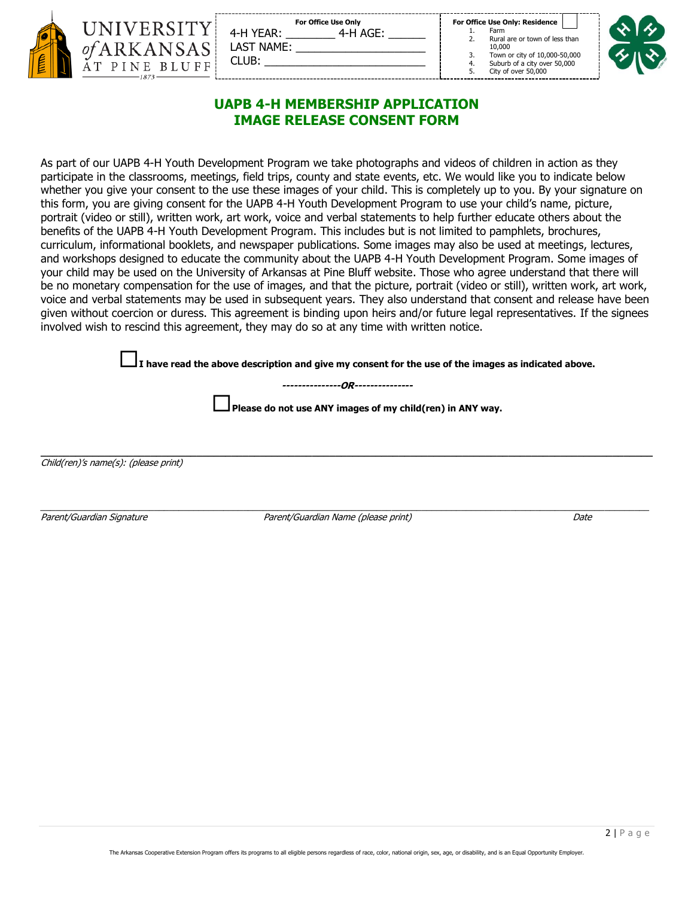|     | UNIVERSIT<br><i>of</i> ARKANSA |
|-----|--------------------------------|
| EIN | AT PINE BLUF                   |

| <b>For Office Use Only</b> | For Office Use Only: Residen |
|----------------------------|------------------------------|
| 4-H YEAR:                  | Farm                         |
| 4-H AGE:                   | Rural are or town of         |
| S                          | 10.000                       |
| LAST NAME:                 | Town or city of 10,0         |
| CLUB:                      | Suburb of a city ove         |
| $\overline{E}$             | 4.                           |
|                            | City of over 50,000          |

**lv: Residence** 

- e or town of less than
- r city of 10,000-50,000 of a city over 50,000
	-

# **UAPB 4-H MEMBERSHIP APPLICATION IMAGE RELEASE CONSENT FORM**

As part of our UAPB 4-H Youth Development Program we take photographs and videos of children in action as they participate in the classrooms, meetings, field trips, county and state events, etc. We would like you to indicate below whether you give your consent to the use these images of your child. This is completely up to you. By your signature on this form, you are giving consent for the UAPB 4-H Youth Development Program to use your child's name, picture, portrait (video or still), written work, art work, voice and verbal statements to help further educate others about the benefits of the UAPB 4-H Youth Development Program. This includes but is not limited to pamphlets, brochures, curriculum, informational booklets, and newspaper publications. Some images may also be used at meetings, lectures, and workshops designed to educate the community about the UAPB 4-H Youth Development Program. Some images of your child may be used on the University of Arkansas at Pine Bluff website. Those who agree understand that there will be no monetary compensation for the use of images, and that the picture, portrait (video or still), written work, art work, voice and verbal statements may be used in subsequent years. They also understand that consent and release have been given without coercion or duress. This agreement is binding upon heirs and/or future legal representatives. If the signees involved wish to rescind this agreement, they may do so at any time with written notice.

**I have read the above description and give my consent for the use of the images as indicated above.** 

**---------------OR---------------** 

**\_\_\_\_\_\_\_\_\_\_\_\_\_\_\_\_\_\_\_\_\_\_\_\_\_\_\_\_\_\_\_\_\_\_\_\_\_\_\_\_\_\_\_\_\_\_\_\_\_\_\_\_\_\_\_\_\_\_\_\_\_\_\_\_\_\_\_\_\_\_\_\_\_\_\_\_\_\_\_\_\_\_\_\_\_\_\_\_\_\_\_\_\_\_\_\_\_\_\_\_\_\_\_\_\_\_** 

**Please do not use ANY images of my child(ren) in ANY way.** 

Child(ren)'s name(s): (please print)

\_\_\_\_\_\_\_\_\_\_\_\_\_\_\_\_\_\_\_\_\_\_\_\_\_\_\_\_\_\_\_\_\_\_\_\_\_\_\_\_\_\_\_\_\_\_\_\_\_\_\_\_\_\_\_\_\_\_\_\_\_\_\_\_\_\_\_\_\_\_\_\_\_\_\_\_\_\_\_\_\_\_\_\_\_\_\_\_\_\_\_\_\_\_\_\_\_\_\_\_\_\_\_\_\_\_\_\_\_\_\_\_\_\_\_\_\_\_\_\_\_\_\_

Parent/Guardian Signature *Date* Parent/Guardian Name (please print) Parent/Guardian Name (please print) Date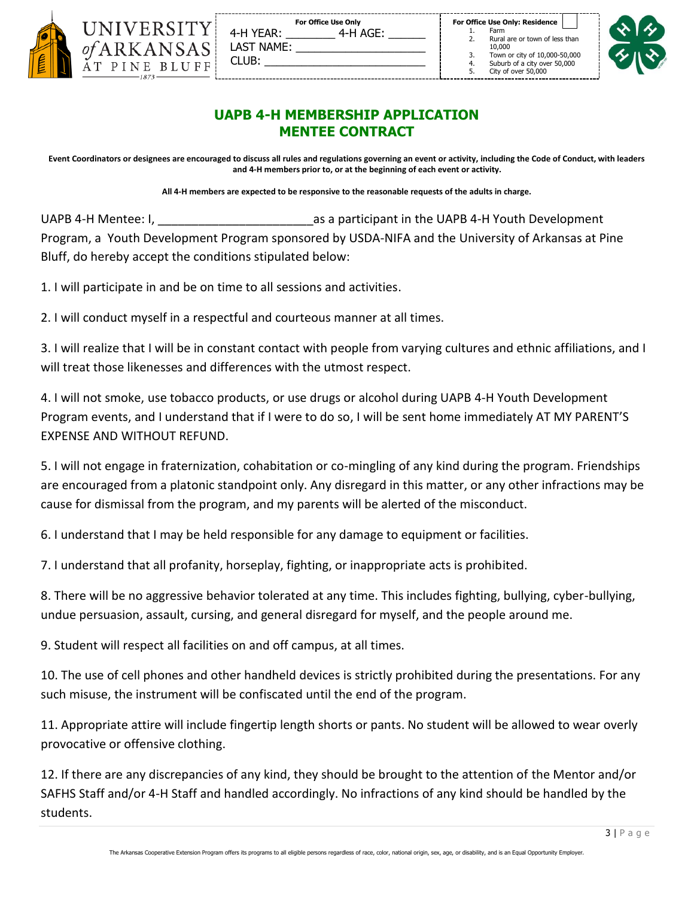| UNIVERSITY                           |
|--------------------------------------|
| <i>of</i> ARKANSAS<br>AT PINE BLUFF! |
|                                      |

|            | <b>For Office Use Only</b> |
|------------|----------------------------|
| 4-H YEAR:  | 4-H AGE:                   |
| LAST NAME: |                            |
| CLUB:      |                            |

|  |  | For Office Use Only: Residence |  |
|--|--|--------------------------------|--|
|  |  |                                |  |

- 1. Farm<br>2. Rural Rural are or town of less than 10,000
- 3. Town or city of 10,000-50,000 4. Suburb of a city over 50,000

City of over 50,000



# **UAPB 4-H MEMBERSHIP APPLICATION MENTEE CONTRACT**

**Event Coordinators or designees are encouraged to discuss all rules and regulations governing an event or activity, including the Code of Conduct, with leaders and 4-H members prior to, or at the beginning of each event or activity.** 

**All 4-H members are expected to be responsive to the reasonable requests of the adults in charge.**

UAPB 4-H Mentee: I, **Example 20 as a participant in the UAPB 4-H Youth Development** Program, a Youth Development Program sponsored by USDA-NIFA and the University of Arkansas at Pine Bluff, do hereby accept the conditions stipulated below:

1. I will participate in and be on time to all sessions and activities.

2. I will conduct myself in a respectful and courteous manner at all times.

-------------

3. I will realize that I will be in constant contact with people from varying cultures and ethnic affiliations, and I will treat those likenesses and differences with the utmost respect.

4. I will not smoke, use tobacco products, or use drugs or alcohol during UAPB 4-H Youth Development Program events, and I understand that if I were to do so, I will be sent home immediately AT MY PARENT'S EXPENSE AND WITHOUT REFUND.

5. I will not engage in fraternization, cohabitation or co-mingling of any kind during the program. Friendships are encouraged from a platonic standpoint only. Any disregard in this matter, or any other infractions may be cause for dismissal from the program, and my parents will be alerted of the misconduct.

6. I understand that I may be held responsible for any damage to equipment or facilities.

7. I understand that all profanity, horseplay, fighting, or inappropriate acts is prohibited.

8. There will be no aggressive behavior tolerated at any time. This includes fighting, bullying, cyber-bullying, undue persuasion, assault, cursing, and general disregard for myself, and the people around me.

9. Student will respect all facilities on and off campus, at all times.

10. The use of cell phones and other handheld devices is strictly prohibited during the presentations. For any such misuse, the instrument will be confiscated until the end of the program.

11. Appropriate attire will include fingertip length shorts or pants. No student will be allowed to wear overly provocative or offensive clothing.

12. If there are any discrepancies of any kind, they should be brought to the attention of the Mentor and/or SAFHS Staff and/or 4-H Staff and handled accordingly. No infractions of any kind should be handled by the students.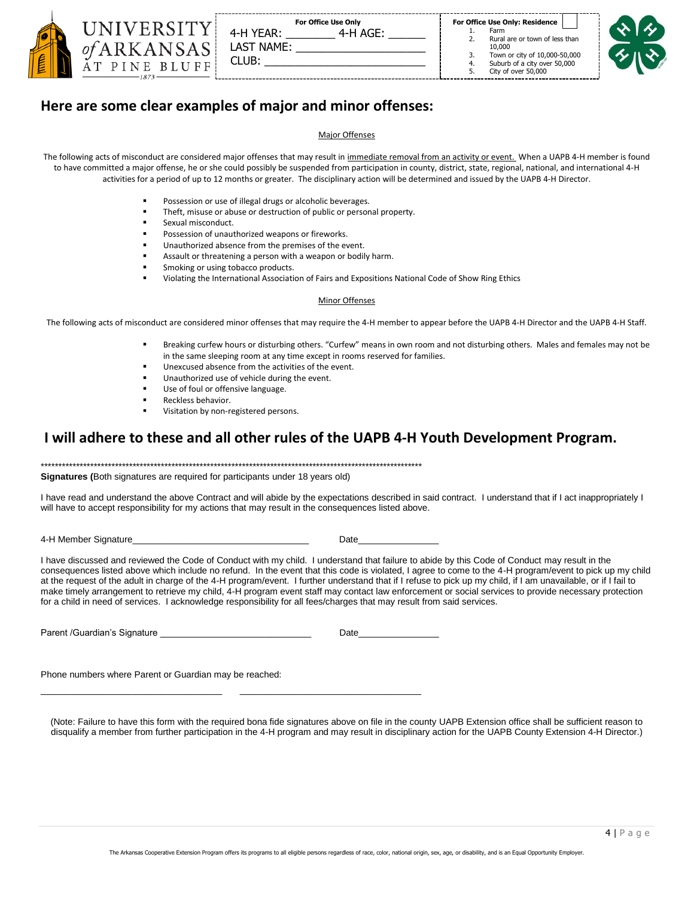|  | For Office Use Only<br>$4-H$ AGF<br>4-H YEAR:<br>I AST NAME:<br>CLUB: | For Office Use Only: Residence<br>Farm<br>Rural are or town of less than<br>10,000<br>Town or city of 10,000-50,000<br>Suburb of a city over 50,000<br>City of over 50,000 |  |
|--|-----------------------------------------------------------------------|----------------------------------------------------------------------------------------------------------------------------------------------------------------------------|--|
|--|-----------------------------------------------------------------------|----------------------------------------------------------------------------------------------------------------------------------------------------------------------------|--|

# **Here are some clear examples of major and minor offenses:**

#### Major Offenses

The following acts of misconduct are considered major offenses that may result in immediate removal from an activity or event. When a UAPB 4-H member is found to have committed a major offense, he or she could possibly be suspended from participation in county, district, state, regional, national, and international 4-H activities for a period of up to 12 months or greater. The disciplinary action will be determined and issued by the UAPB 4-H Director.

- Possession or use of illegal drugs or alcoholic beverages.
- Theft, misuse or abuse or destruction of public or personal property.
- Sexual misconduct
- Possession of unauthorized weapons or fireworks.
- Unauthorized absence from the premises of the event.
- Assault or threatening a person with a weapon or bodily harm.
- Smoking or using tobacco products.
- Violating the International Association of Fairs and Expositions National Code of Show Ring Ethics

#### Minor Offenses

The following acts of misconduct are considered minor offenses that may require the 4-H member to appear before the UAPB 4-H Director and the UAPB 4-H Staff.

- Breaking curfew hours or disturbing others. "Curfew" means in own room and not disturbing others. Males and females may not be in the same sleeping room at any time except in rooms reserved for families.
- Unexcused absence from the activities of the event.
- Unauthorized use of vehicle during the event.
- Use of foul or offensive language.
- Reckless behavior.
- Visitation by non-registered persons.

### **I will adhere to these and all other rules of the UAPB 4-H Youth Development Program.**

\*\*\*\*\*\*\*\*\*\*\*\*\*\*\*\*\*\*\*\*\*\*\*\*\*\*\*\*\*\*\*\*\*\*\*\*\*\*\*\*\*\*\*\*\*\*\*\*\*\*\*\*\*\*\*\*\*\*\*\*\*\*\*\*\*\*\*\*\*\*\*\*\*\*\*\*\*\*\*\*\*\*\*\*\*\*\*\*\*\*\*\*\*\*\*\*\*\*\*\*\*\*\*\*\*\*\*\*

\_\_\_\_\_\_\_\_\_\_\_\_\_\_\_\_\_\_\_\_\_\_\_\_\_\_\_\_\_\_\_\_\_\_\_\_ \_\_\_\_\_\_\_\_\_\_\_\_\_\_\_\_\_\_\_\_\_\_\_\_\_\_\_\_\_\_\_\_\_\_\_\_

**Signatures (**Both signatures are required for participants under 18 years old)

I have read and understand the above Contract and will abide by the expectations described in said contract. I understand that if I act inappropriately I will have to accept responsibility for my actions that may result in the consequences listed above.

4-H Member Signature\_\_\_\_\_\_\_\_\_\_\_\_\_\_\_\_\_\_\_\_\_\_\_\_\_\_\_\_\_\_\_\_\_\_\_ Date\_\_\_\_\_\_\_\_\_\_\_\_\_\_\_\_

I have discussed and reviewed the Code of Conduct with my child. I understand that failure to abide by this Code of Conduct may result in the consequences listed above which include no refund. In the event that this code is violated, I agree to come to the 4-H program/event to pick up my child at the request of the adult in charge of the 4-H program/event. I further understand that if I refuse to pick up my child, if I am unavailable, or if I fail to make timely arrangement to retrieve my child, 4-H program event staff may contact law enforcement or social services to provide necessary protection for a child in need of services. I acknowledge responsibility for all fees/charges that may result from said services.

Parent /Guardian's Signature **Date Date** 

Phone numbers where Parent or Guardian may be reached:

(Note: Failure to have this form with the required bona fide signatures above on file in the county UAPB Extension office shall be sufficient reason to disqualify a member from further participation in the 4-H program and may result in disciplinary action for the UAPB County Extension 4-H Director.)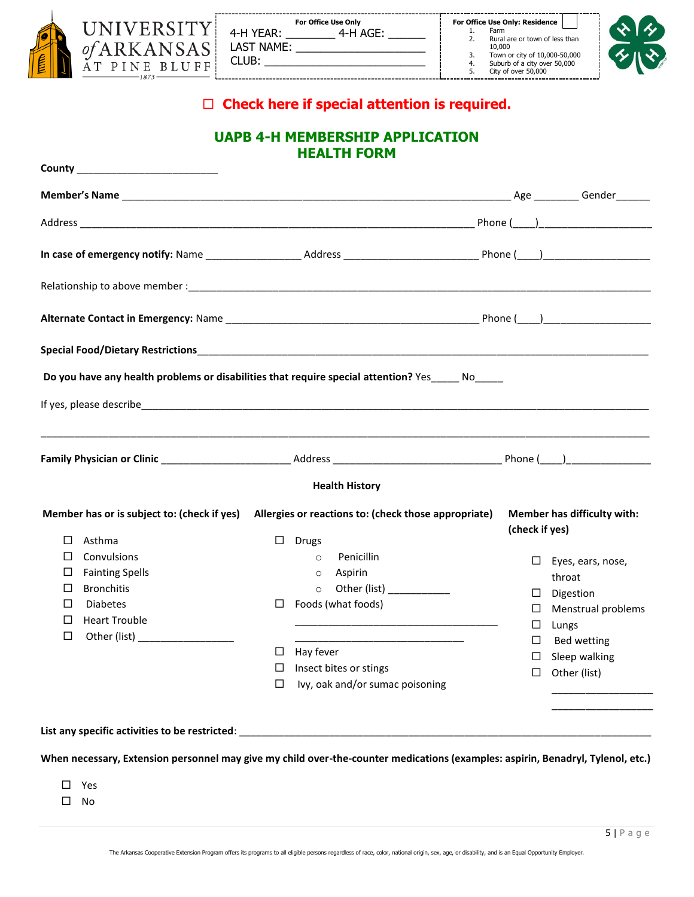|  | 1873 | 4-H YEAR:<br>LAST NAME:<br>CLUB: | For Office Use Only<br>4-H AGE: |  | For Office Use Only: Residence<br>Farm<br>Rural are or town of less than<br>10,000<br>Town or city of 10,000-50,000<br>Suburb of a city over 50,000<br>City of over 50,000 |
|--|------|----------------------------------|---------------------------------|--|----------------------------------------------------------------------------------------------------------------------------------------------------------------------------|
|--|------|----------------------------------|---------------------------------|--|----------------------------------------------------------------------------------------------------------------------------------------------------------------------------|



# **Check here if special attention is required.**

# **UAPB 4-H MEMBERSHIP APPLICATION HEALTH FORM**

|                                                   | Do you have any health problems or disabilities that require special attention? Yes ______ No_____                                  |                                               |
|---------------------------------------------------|-------------------------------------------------------------------------------------------------------------------------------------|-----------------------------------------------|
|                                                   |                                                                                                                                     |                                               |
|                                                   |                                                                                                                                     |                                               |
|                                                   |                                                                                                                                     |                                               |
|                                                   | <b>Health History</b>                                                                                                               |                                               |
| Member has or is subject to: (check if yes)       | Allergies or reactions to: (check those appropriate)                                                                                | Member has difficulty with:<br>(check if yes) |
| Asthma<br>⊔                                       | $\square$ Drugs                                                                                                                     |                                               |
| □<br>Convulsions                                  | Penicillin<br>$\circ$                                                                                                               | $\Box$ Eyes, ears, nose,                      |
| <b>Fainting Spells</b><br>⊔                       | Aspirin<br>$\circ$                                                                                                                  | throat                                        |
| <b>Bronchitis</b><br>□                            | Other (list) ____________<br>$\circ$                                                                                                | Digestion<br>⊔                                |
| <b>Diabetes</b><br>ப<br><b>Heart Trouble</b><br>⊔ | Foods (what foods)<br>⊔                                                                                                             | Menstrual problems<br>⊔                       |
| □<br>Other (list) ___________________             | the control of the control of the control of the control of the control of the control of                                           | $\Box$<br>Lungs                               |
|                                                   | <u> 1989 - Johann John Stone, mars et al. 1989 - John Stone, mars et al. 1989 - John Stone, mars et al. 1989 - Joh</u><br>Hay fever | <b>Bed wetting</b><br>⊔                       |
|                                                   | □<br>Insect bites or stings                                                                                                         | Sleep walking<br>⊔                            |
|                                                   | Ivy, oak and/or sumac poisoning<br>□                                                                                                | $\Box$ Other (list)                           |
|                                                   |                                                                                                                                     |                                               |
|                                                   |                                                                                                                                     |                                               |
|                                                   |                                                                                                                                     |                                               |
|                                                   | When necessary, Extension personnel may give my child over-the-counter medications (examples: aspirin, Benadryl, Tylenol, etc.)     |                                               |
|                                                   |                                                                                                                                     |                                               |
|                                                   |                                                                                                                                     |                                               |

- Yes
- $\square$  No